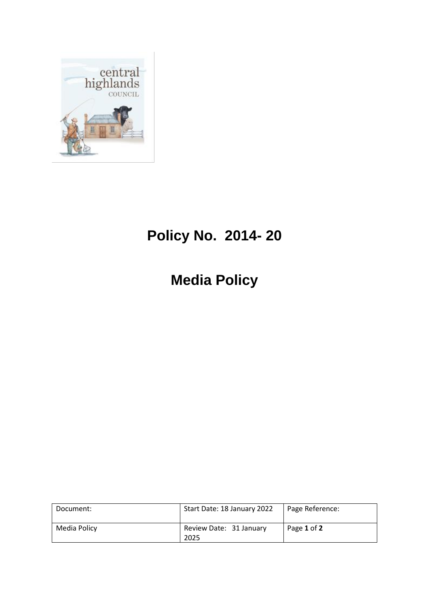

# **Policy No. 2014- 20**

**Media Policy**

| Document:    | Start Date: 18 January 2022     | Page Reference: |
|--------------|---------------------------------|-----------------|
| Media Policy | Review Date: 31 January<br>2025 | Page 1 of 2     |